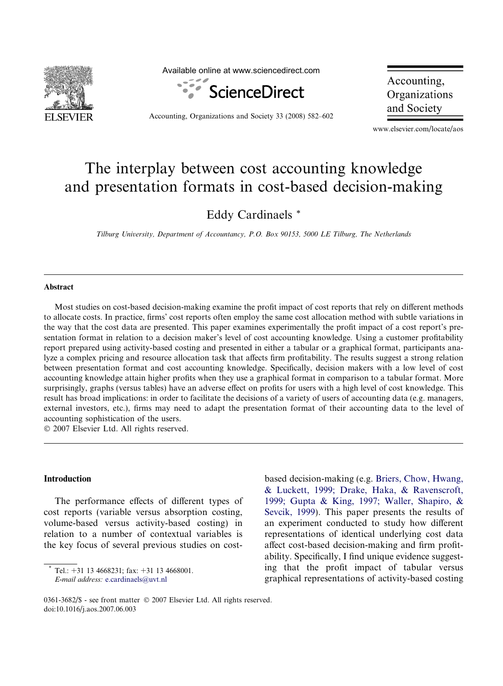

Available online at www.sciencedirect.com



Accounting, Organizations and Society 33 (2008) 582–602

Accounting, Organizations and Society

www.elsevier.com/locate/aos

## The interplay between cost accounting knowledge and presentation formats in cost-based decision-making

Eddy Cardinaels \*

Tilburg University, Department of Accountancy, P.O. Box 90153, 5000 LE Tilburg, The Netherlands

## **Abstract**

Most studies on cost-based decision-making examine the profit impact of cost reports that rely on different methods to allocate costs. In practice, firms' cost reports often employ the same cost allocation method with subtle variations in the way that the cost data are presented. This paper examines experimentally the profit impact of a cost report's presentation format in relation to a decision maker's level of cost accounting knowledge. Using a customer profitability report prepared using activity-based costing and presented in either a tabular or a graphical format, participants analyze a complex pricing and resource allocation task that affects firm profitability. The results suggest a strong relation between presentation format and cost accounting knowledge. Specifically, decision makers with a low level of cost accounting knowledge attain higher profits when they use a graphical format in comparison to a tabular format. More surprisingly, graphs (versus tables) have an adverse effect on profits for users with a high level of cost knowledge. This result has broad implications: in order to facilitate the decisions of a variety of users of accounting data (e.g. managers, external investors, etc.), firms may need to adapt the presentation format of their accounting data to the level of accounting sophistication of the users.

 $© 2007 Elsevier Ltd. All rights reserved.$ 

## **Introduction**

The performance effects of different types of cost reports (variable versus absorption costing, volume-based versus activity-based costing) in relation to a number of contextual variables is the key focus of several previous studies on costbased decision-making (e.g. [Briers, Chow, Hwang,](#page--1-0) [& Luckett, 1999; Drake, Haka, & Ravenscroft,](#page--1-0) [1999; Gupta & King, 1997; Waller, Shapiro, &](#page--1-0) [Sevcik, 1999](#page--1-0)). This paper presents the results of an experiment conducted to study how different representations of identical underlying cost data affect cost-based decision-making and firm profitability. Specifically, I find unique evidence suggesting that the profit impact of tabular versus graphical representations of activity-based costing

Tel.:  $+31$  13 4668231; fax:  $+31$  13 4668001. E-mail address: [e.cardinaels@uvt.nl](mailto:e.cardinaels@uvt.nl)

<sup>0361-3682/\$ -</sup> see front matter © 2007 Elsevier Ltd. All rights reserved. doi:10.1016/j.aos.2007.06.003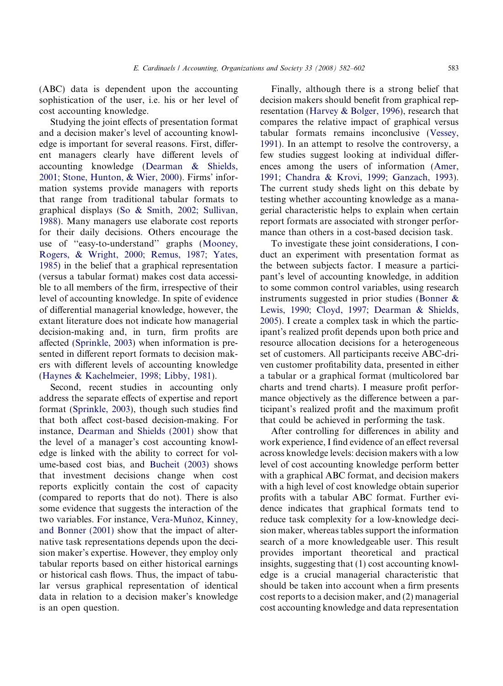(ABC) data is dependent upon the accounting sophistication of the user, i.e. his or her level of cost accounting knowledge.

Studying the joint effects of presentation format and a decision maker's level of accounting knowledge is important for several reasons. First, different managers clearly have different levels of accounting knowledge ([Dearman & Shields,](#page--1-0) [2001; Stone, Hunton, & Wier, 2000\)](#page--1-0). Firms' information systems provide managers with reports that range from traditional tabular formats to graphical displays [\(So & Smith, 2002; Sullivan,](#page--1-0) [1988](#page--1-0)). Many managers use elaborate cost reports for their daily decisions. Others encourage the use of ''easy-to-understand'' graphs [\(Mooney,](#page--1-0) [Rogers, & Wright, 2000; Remus, 1987; Yates,](#page--1-0) [1985](#page--1-0)) in the belief that a graphical representation (versus a tabular format) makes cost data accessible to all members of the firm, irrespective of their level of accounting knowledge. In spite of evidence of differential managerial knowledge, however, the extant literature does not indicate how managerial decision-making and, in turn, firm profits are affected ([Sprinkle, 2003](#page--1-0)) when information is presented in different report formats to decision makers with different levels of accounting knowledge ([Haynes & Kachelmeier, 1998; Libby, 1981](#page--1-0)).

Second, recent studies in accounting only address the separate effects of expertise and report format ([Sprinkle, 2003](#page--1-0)), though such studies find that both affect cost-based decision-making. For instance, [Dearman and Shields \(2001\)](#page--1-0) show that the level of a manager's cost accounting knowledge is linked with the ability to correct for volume-based cost bias, and [Bucheit \(2003\)](#page--1-0) shows that investment decisions change when cost reports explicitly contain the cost of capacity (compared to reports that do not). There is also some evidence that suggests the interaction of the two variables. For instance, Vera-Muñoz, Kinney, [and Bonner \(2001\)](#page--1-0) show that the impact of alternative task representations depends upon the decision maker's expertise. However, they employ only tabular reports based on either historical earnings or historical cash flows. Thus, the impact of tabular versus graphical representation of identical data in relation to a decision maker's knowledge is an open question.

Finally, although there is a strong belief that decision makers should benefit from graphical representation ([Harvey & Bolger, 1996](#page--1-0)), research that compares the relative impact of graphical versus tabular formats remains inconclusive ([Vessey,](#page--1-0) [1991\)](#page--1-0). In an attempt to resolve the controversy, a few studies suggest looking at individual differences among the users of information ([Amer,](#page--1-0) [1991; Chandra & Krovi, 1999; Ganzach, 1993\)](#page--1-0). The current study sheds light on this debate by testing whether accounting knowledge as a managerial characteristic helps to explain when certain report formats are associated with stronger performance than others in a cost-based decision task.

To investigate these joint considerations, I conduct an experiment with presentation format as the between subjects factor. I measure a participant's level of accounting knowledge, in addition to some common control variables, using research instruments suggested in prior studies ([Bonner &](#page--1-0) [Lewis, 1990; Cloyd, 1997; Dearman & Shields,](#page--1-0) [2005\)](#page--1-0). I create a complex task in which the participant's realized profit depends upon both price and resource allocation decisions for a heterogeneous set of customers. All participants receive ABC-driven customer profitability data, presented in either a tabular or a graphical format (multicolored bar charts and trend charts). I measure profit performance objectively as the difference between a participant's realized profit and the maximum profit that could be achieved in performing the task.

After controlling for differences in ability and work experience, I find evidence of an effect reversal across knowledge levels: decision makers with a low level of cost accounting knowledge perform better with a graphical ABC format, and decision makers with a high level of cost knowledge obtain superior profits with a tabular ABC format. Further evidence indicates that graphical formats tend to reduce task complexity for a low-knowledge decision maker, whereas tables support the information search of a more knowledgeable user. This result provides important theoretical and practical insights, suggesting that (1) cost accounting knowledge is a crucial managerial characteristic that should be taken into account when a firm presents cost reports to a decision maker, and (2) managerial cost accounting knowledge and data representation